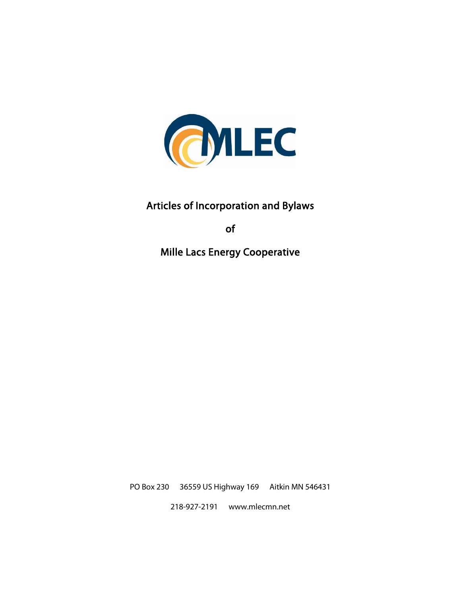

# Articles of Incorporation and Bylaws

of

Mille Lacs Energy Cooperative

PO Box 230 36559 US Highway 169 Aitkin MN 546431

218-927-2191 www.mlecmn.net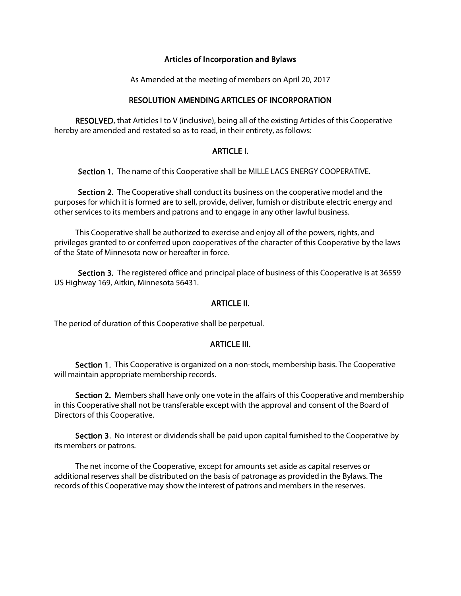# Articles of Incorporation and Bylaws

As Amended at the meeting of members on April 20, 2017

# RESOLUTION AMENDING ARTICLES OF INCORPORATION

 RESOLVED, that Articles I to V (inclusive), being all of the existing Articles of this Cooperative hereby are amended and restated so as to read, in their entirety, as follows:

## ARTICI F I.

Section 1. The name of this Cooperative shall be MILLE LACS ENERGY COOPERATIVE.

 Section 2. The Cooperative shall conduct its business on the cooperative model and the purposes for which it is formed are to sell, provide, deliver, furnish or distribute electric energy and other services to its members and patrons and to engage in any other lawful business.

 This Cooperative shall be authorized to exercise and enjoy all of the powers, rights, and privileges granted to or conferred upon cooperatives of the character of this Cooperative by the laws of the State of Minnesota now or hereafter in force.

Section 3. The registered office and principal place of business of this Cooperative is at 36559 US Highway 169, Aitkin, Minnesota 56431.

## ARTICLE II.

The period of duration of this Cooperative shall be perpetual.

## ARTICLE III.

 Section 1. This Cooperative is organized on a non-stock, membership basis. The Cooperative will maintain appropriate membership records.

Section 2. Members shall have only one vote in the affairs of this Cooperative and membership in this Cooperative shall not be transferable except with the approval and consent of the Board of Directors of this Cooperative.

Section 3. No interest or dividends shall be paid upon capital furnished to the Cooperative by its members or patrons.

 The net income of the Cooperative, except for amounts set aside as capital reserves or additional reserves shall be distributed on the basis of patronage as provided in the Bylaws. The records of this Cooperative may show the interest of patrons and members in the reserves.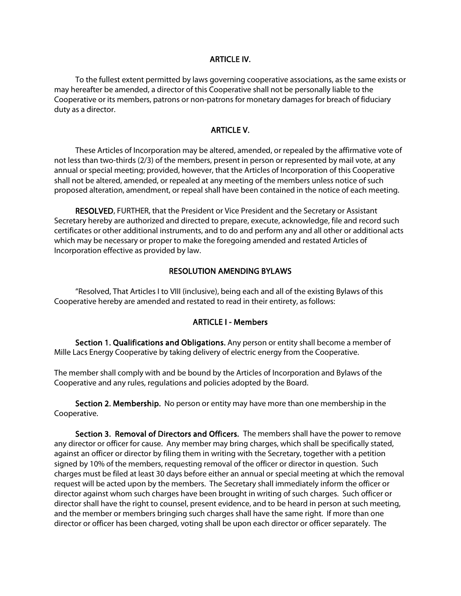#### ARTICLE IV.

 To the fullest extent permitted by laws governing cooperative associations, as the same exists or may hereafter be amended, a director of this Cooperative shall not be personally liable to the Cooperative or its members, patrons or non-patrons for monetary damages for breach of fiduciary duty as a director.

# ARTICLE V.

 These Articles of Incorporation may be altered, amended, or repealed by the affirmative vote of not less than two-thirds (2/3) of the members, present in person or represented by mail vote, at any annual or special meeting; provided, however, that the Articles of Incorporation of this Cooperative shall not be altered, amended, or repealed at any meeting of the members unless notice of such proposed alteration, amendment, or repeal shall have been contained in the notice of each meeting.

 RESOLVED, FURTHER, that the President or Vice President and the Secretary or Assistant Secretary hereby are authorized and directed to prepare, execute, acknowledge, file and record such certificates or other additional instruments, and to do and perform any and all other or additional acts which may be necessary or proper to make the foregoing amended and restated Articles of Incorporation effective as provided by law.

## RESOLUTION AMENDING BYLAWS

 "Resolved, That Articles I to VIII (inclusive), being each and all of the existing Bylaws of this Cooperative hereby are amended and restated to read in their entirety, as follows:

#### ARTICLE I - Members

Section 1. Qualifications and Obligations. Any person or entity shall become a member of Mille Lacs Energy Cooperative by taking delivery of electric energy from the Cooperative.

The member shall comply with and be bound by the Articles of Incorporation and Bylaws of the Cooperative and any rules, regulations and policies adopted by the Board.

 Section 2. Membership. No person or entity may have more than one membership in the Cooperative.

 Section 3. Removal of Directors and Officers. The members shall have the power to remove any director or officer for cause. Any member may bring charges, which shall be specifically stated, against an officer or director by filing them in writing with the Secretary, together with a petition signed by 10% of the members, requesting removal of the officer or director in question. Such charges must be filed at least 30 days before either an annual or special meeting at which the removal request will be acted upon by the members. The Secretary shall immediately inform the officer or director against whom such charges have been brought in writing of such charges. Such officer or director shall have the right to counsel, present evidence, and to be heard in person at such meeting, and the member or members bringing such charges shall have the same right. If more than one director or officer has been charged, voting shall be upon each director or officer separately. The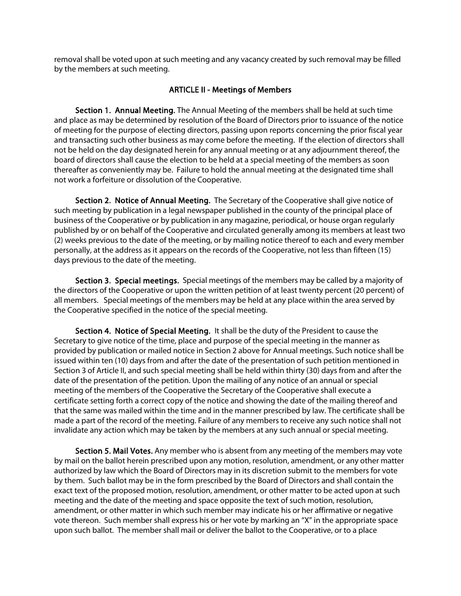removal shall be voted upon at such meeting and any vacancy created by such removal may be filled by the members at such meeting.

# ARTICLE II - Meetings of Members

 Section 1. Annual Meeting. The Annual Meeting of the members shall be held at such time and place as may be determined by resolution of the Board of Directors prior to issuance of the notice of meeting for the purpose of electing directors, passing upon reports concerning the prior fiscal year and transacting such other business as may come before the meeting. If the election of directors shall not be held on the day designated herein for any annual meeting or at any adjournment thereof, the board of directors shall cause the election to be held at a special meeting of the members as soon thereafter as conveniently may be. Failure to hold the annual meeting at the designated time shall not work a forfeiture or dissolution of the Cooperative.

 Section 2. Notice of Annual Meeting. The Secretary of the Cooperative shall give notice of such meeting by publication in a legal newspaper published in the county of the principal place of business of the Cooperative or by publication in any magazine, periodical, or house organ regularly published by or on behalf of the Cooperative and circulated generally among its members at least two (2) weeks previous to the date of the meeting, or by mailing notice thereof to each and every member personally, at the address as it appears on the records of the Cooperative, not less than fifteen (15) days previous to the date of the meeting.

 Section 3. Special meetings. Special meetings of the members may be called by a majority of the directors of the Cooperative or upon the written petition of at least twenty percent (20 percent) of all members. Special meetings of the members may be held at any place within the area served by the Cooperative specified in the notice of the special meeting.

 Section 4. Notice of Special Meeting. It shall be the duty of the President to cause the Secretary to give notice of the time, place and purpose of the special meeting in the manner as provided by publication or mailed notice in Section 2 above for Annual meetings. Such notice shall be issued within ten (10) days from and after the date of the presentation of such petition mentioned in Section 3 of Article II, and such special meeting shall be held within thirty (30) days from and after the date of the presentation of the petition. Upon the mailing of any notice of an annual or special meeting of the members of the Cooperative the Secretary of the Cooperative shall execute a certificate setting forth a correct copy of the notice and showing the date of the mailing thereof and that the same was mailed within the time and in the manner prescribed by law. The certificate shall be made a part of the record of the meeting. Failure of any members to receive any such notice shall not invalidate any action which may be taken by the members at any such annual or special meeting.

 Section 5. Mail Votes. Any member who is absent from any meeting of the members may vote by mail on the ballot herein prescribed upon any motion, resolution, amendment, or any other matter authorized by law which the Board of Directors may in its discretion submit to the members for vote by them. Such ballot may be in the form prescribed by the Board of Directors and shall contain the exact text of the proposed motion, resolution, amendment, or other matter to be acted upon at such meeting and the date of the meeting and space opposite the text of such motion, resolution, amendment, or other matter in which such member may indicate his or her affirmative or negative vote thereon. Such member shall express his or her vote by marking an "X" in the appropriate space upon such ballot. The member shall mail or deliver the ballot to the Cooperative, or to a place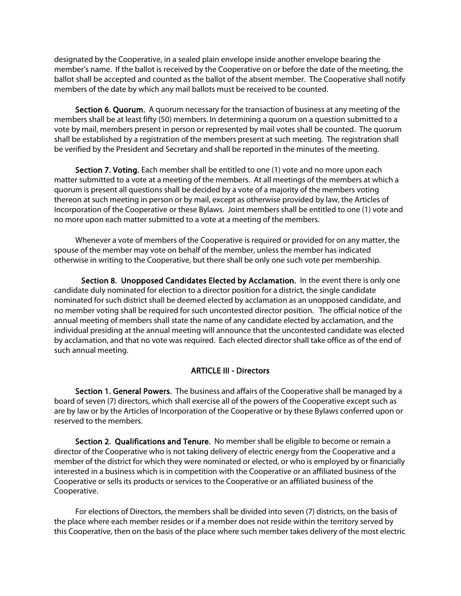designated by the Cooperative, in a sealed plain envelope inside another envelope bearing the member's name. If the ballot is received by the Cooperative on or before the date of the meeting, the ballot shall be accepted and counted as the ballot of the absent member. The Cooperative shall notify members of the date by which any mail ballots must be received to be counted.

 Section 6. Quorum. A quorum necessary for the transaction of business at any meeting of the members shall be at least fifty (50) members. In determining a quorum on a question submitted to a vote by mail, members present in person or represented by mail votes shall be counted. The quorum shall be established by a registration of the members present at such meeting. The registration shall be verified by the President and Secretary and shall be reported in the minutes of the meeting.

 Section 7. Voting. Each member shall be entitled to one (1) vote and no more upon each matter submitted to a vote at a meeting of the members. At all meetings of the members at which a quorum is present all questions shall be decided by a vote of a majority of the members voting thereon at such meeting in person or by mail, except as otherwise provided by law, the Articles of Incorporation of the Cooperative or these Bylaws. Joint members shall be entitled to one (1) vote and no more upon each matter submitted to a vote at a meeting of the members.

 Whenever a vote of members of the Cooperative is required or provided for on any matter, the spouse of the member may vote on behalf of the member, unless the member has indicated otherwise in writing to the Cooperative, but there shall be only one such vote per membership.

Section 8. Unopposed Candidates Elected by Acclamation. In the event there is only one candidate duly nominated for election to a director position for a district, the single candidate nominated for such district shall be deemed elected by acclamation as an unopposed candidate, and no member voting shall be required for such uncontested director position. The official notice of the annual meeting of members shall state the name of any candidate elected by acclamation, and the individual presiding at the annual meeting will announce that the uncontested candidate was elected by acclamation, and that no vote was required. Each elected director shall take office as of the end of such annual meeting.

# ARTICLE III - Directors

 Section 1. General Powers. The business and affairs of the Cooperative shall be managed by a board of seven (7) directors, which shall exercise all of the powers of the Cooperative except such as are by law or by the Articles of Incorporation of the Cooperative or by these Bylaws conferred upon or reserved to the members.

 Section 2. Qualifications and Tenure. No member shall be eligible to become or remain a director of the Cooperative who is not taking delivery of electric energy from the Cooperative and a member of the district for which they were nominated or elected, or who is employed by or financially interested in a business which is in competition with the Cooperative or an affiliated business of the Cooperative or sells its products or services to the Cooperative or an affiliated business of the Cooperative.

 For elections of Directors, the members shall be divided into seven (7) districts, on the basis of the place where each member resides or if a member does not reside within the territory served by this Cooperative, then on the basis of the place where such member takes delivery of the most electric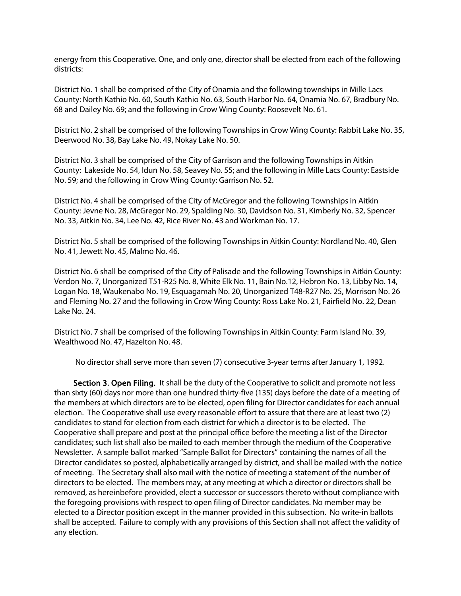energy from this Cooperative. One, and only one, director shall be elected from each of the following districts:

District No. 1 shall be comprised of the City of Onamia and the following townships in Mille Lacs County: North Kathio No. 60, South Kathio No. 63, South Harbor No. 64, Onamia No. 67, Bradbury No. 68 and Dailey No. 69; and the following in Crow Wing County: Roosevelt No. 61.

District No. 2 shall be comprised of the following Townships in Crow Wing County: Rabbit Lake No. 35, Deerwood No. 38, Bay Lake No. 49, Nokay Lake No. 50.

District No. 3 shall be comprised of the City of Garrison and the following Townships in Aitkin County: Lakeside No. 54, Idun No. 58, Seavey No. 55; and the following in Mille Lacs County: Eastside No. 59; and the following in Crow Wing County: Garrison No. 52.

District No. 4 shall be comprised of the City of McGregor and the following Townships in Aitkin County: Jevne No. 28, McGregor No. 29, Spalding No. 30, Davidson No. 31, Kimberly No. 32, Spencer No. 33, Aitkin No. 34, Lee No. 42, Rice River No. 43 and Workman No. 17.

District No. 5 shall be comprised of the following Townships in Aitkin County: Nordland No. 40, Glen No. 41, Jewett No. 45, Malmo No. 46.

District No. 6 shall be comprised of the City of Palisade and the following Townships in Aitkin County: Verdon No. 7, Unorganized T51-R25 No. 8, White Elk No. 11, Bain No.12, Hebron No. 13, Libby No. 14, Logan No. 18, Waukenabo No. 19, Esquagamah No. 20, Unorganized T48-R27 No. 25, Morrison No. 26 and Fleming No. 27 and the following in Crow Wing County: Ross Lake No. 21, Fairfield No. 22, Dean Lake No. 24.

District No. 7 shall be comprised of the following Townships in Aitkin County: Farm Island No. 39, Wealthwood No. 47, Hazelton No. 48.

No director shall serve more than seven (7) consecutive 3-year terms after January 1, 1992.

Section 3. Open Filing. It shall be the duty of the Cooperative to solicit and promote not less than sixty (60) days nor more than one hundred thirty-five (135) days before the date of a meeting of the members at which directors are to be elected, open filing for Director candidates for each annual election. The Cooperative shall use every reasonable effort to assure that there are at least two (2) candidates to stand for election from each district for which a director is to be elected. The Cooperative shall prepare and post at the principal office before the meeting a list of the Director candidates; such list shall also be mailed to each member through the medium of the Cooperative Newsletter. A sample ballot marked "Sample Ballot for Directors" containing the names of all the Director candidates so posted, alphabetically arranged by district, and shall be mailed with the notice of meeting. The Secretary shall also mail with the notice of meeting a statement of the number of directors to be elected. The members may, at any meeting at which a director or directors shall be removed, as hereinbefore provided, elect a successor or successors thereto without compliance with the foregoing provisions with respect to open filing of Director candidates. No member may be elected to a Director position except in the manner provided in this subsection. No write-in ballots shall be accepted. Failure to comply with any provisions of this Section shall not affect the validity of any election.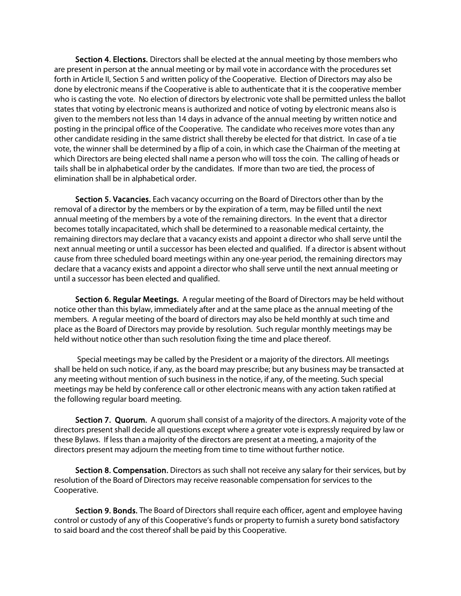Section 4. Elections. Directors shall be elected at the annual meeting by those members who are present in person at the annual meeting or by mail vote in accordance with the procedures set forth in Article II, Section 5 and written policy of the Cooperative. Election of Directors may also be done by electronic means if the Cooperative is able to authenticate that it is the cooperative member who is casting the vote. No election of directors by electronic vote shall be permitted unless the ballot states that voting by electronic means is authorized and notice of voting by electronic means also is given to the members not less than 14 days in advance of the annual meeting by written notice and posting in the principal office of the Cooperative. The candidate who receives more votes than any other candidate residing in the same district shall thereby be elected for that district. In case of a tie vote, the winner shall be determined by a flip of a coin, in which case the Chairman of the meeting at which Directors are being elected shall name a person who will toss the coin. The calling of heads or tails shall be in alphabetical order by the candidates. If more than two are tied, the process of elimination shall be in alphabetical order.

 Section 5. Vacancies. Each vacancy occurring on the Board of Directors other than by the removal of a director by the members or by the expiration of a term, may be filled until the next annual meeting of the members by a vote of the remaining directors. In the event that a director becomes totally incapacitated, which shall be determined to a reasonable medical certainty, the remaining directors may declare that a vacancy exists and appoint a director who shall serve until the next annual meeting or until a successor has been elected and qualified. If a director is absent without cause from three scheduled board meetings within any one-year period, the remaining directors may declare that a vacancy exists and appoint a director who shall serve until the next annual meeting or until a successor has been elected and qualified.

 Section 6. Regular Meetings. A regular meeting of the Board of Directors may be held without notice other than this bylaw, immediately after and at the same place as the annual meeting of the members. A regular meeting of the board of directors may also be held monthly at such time and place as the Board of Directors may provide by resolution. Such regular monthly meetings may be held without notice other than such resolution fixing the time and place thereof.

 Special meetings may be called by the President or a majority of the directors. All meetings shall be held on such notice, if any, as the board may prescribe; but any business may be transacted at any meeting without mention of such business in the notice, if any, of the meeting. Such special meetings may be held by conference call or other electronic means with any action taken ratified at the following regular board meeting.

 Section 7. Quorum. A quorum shall consist of a majority of the directors. A majority vote of the directors present shall decide all questions except where a greater vote is expressly required by law or these Bylaws. If less than a majority of the directors are present at a meeting, a majority of the directors present may adjourn the meeting from time to time without further notice.

 Section 8. Compensation. Directors as such shall not receive any salary for their services, but by resolution of the Board of Directors may receive reasonable compensation for services to the Cooperative.

 Section 9. Bonds. The Board of Directors shall require each officer, agent and employee having control or custody of any of this Cooperative's funds or property to furnish a surety bond satisfactory to said board and the cost thereof shall be paid by this Cooperative.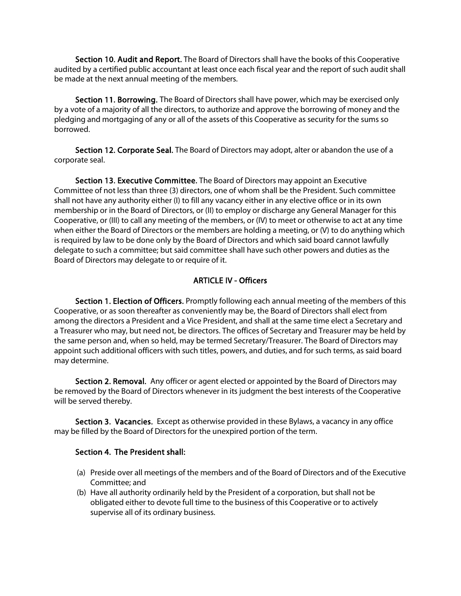Section 10. Audit and Report. The Board of Directors shall have the books of this Cooperative audited by a certified public accountant at least once each fiscal year and the report of such audit shall be made at the next annual meeting of the members.

 Section 11. Borrowing. The Board of Directors shall have power, which may be exercised only by a vote of a majority of all the directors, to authorize and approve the borrowing of money and the pledging and mortgaging of any or all of the assets of this Cooperative as security for the sums so borrowed.

 Section 12. Corporate Seal. The Board of Directors may adopt, alter or abandon the use of a corporate seal.

 Section 13. Executive Committee. The Board of Directors may appoint an Executive Committee of not less than three (3) directors, one of whom shall be the President. Such committee shall not have any authority either (I) to fill any vacancy either in any elective office or in its own membership or in the Board of Directors, or (II) to employ or discharge any General Manager for this Cooperative, or (III) to call any meeting of the members, or (IV) to meet or otherwise to act at any time when either the Board of Directors or the members are holding a meeting, or (V) to do anything which is required by law to be done only by the Board of Directors and which said board cannot lawfully delegate to such a committee; but said committee shall have such other powers and duties as the Board of Directors may delegate to or require of it.

# ARTICLE IV - Officers

Section 1. Election of Officers. Promptly following each annual meeting of the members of this Cooperative, or as soon thereafter as conveniently may be, the Board of Directors shall elect from among the directors a President and a Vice President, and shall at the same time elect a Secretary and a Treasurer who may, but need not, be directors. The offices of Secretary and Treasurer may be held by the same person and, when so held, may be termed Secretary/Treasurer. The Board of Directors may appoint such additional officers with such titles, powers, and duties, and for such terms, as said board may determine.

Section 2. Removal. Any officer or agent elected or appointed by the Board of Directors may be removed by the Board of Directors whenever in its judgment the best interests of the Cooperative will be served thereby.

Section 3. Vacancies. Except as otherwise provided in these Bylaws, a vacancy in any office may be filled by the Board of Directors for the unexpired portion of the term.

## Section 4. The President shall:

- (a) Preside over all meetings of the members and of the Board of Directors and of the Executive Committee; and
- (b) Have all authority ordinarily held by the President of a corporation, but shall not be obligated either to devote full time to the business of this Cooperative or to actively supervise all of its ordinary business.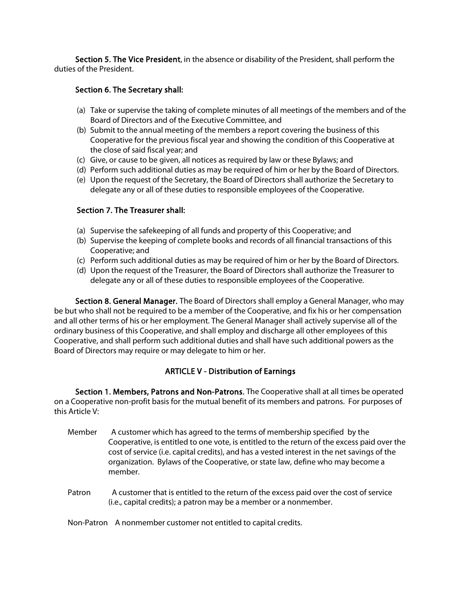Section 5. The Vice President, in the absence or disability of the President, shall perform the duties of the President.

# Section 6. The Secretary shall:

- (a) Take or supervise the taking of complete minutes of all meetings of the members and of the Board of Directors and of the Executive Committee, and
- (b) Submit to the annual meeting of the members a report covering the business of this Cooperative for the previous fiscal year and showing the condition of this Cooperative at the close of said fiscal year; and
- (c) Give, or cause to be given, all notices as required by law or these Bylaws; and
- (d) Perform such additional duties as may be required of him or her by the Board of Directors.
- (e) Upon the request of the Secretary, the Board of Directors shall authorize the Secretary to delegate any or all of these duties to responsible employees of the Cooperative.

# Section 7. The Treasurer shall:

- (a) Supervise the safekeeping of all funds and property of this Cooperative; and
- (b) Supervise the keeping of complete books and records of all financial transactions of this Cooperative; and
- (c) Perform such additional duties as may be required of him or her by the Board of Directors.
- (d) Upon the request of the Treasurer, the Board of Directors shall authorize the Treasurer to delegate any or all of these duties to responsible employees of the Cooperative.

 Section 8. General Manager. The Board of Directors shall employ a General Manager, who may be but who shall not be required to be a member of the Cooperative, and fix his or her compensation and all other terms of his or her employment. The General Manager shall actively supervise all of the ordinary business of this Cooperative, and shall employ and discharge all other employees of this Cooperative, and shall perform such additional duties and shall have such additional powers as the Board of Directors may require or may delegate to him or her.

# ARTICLE V - Distribution of Earnings

 Section 1. Members, Patrons and Non-Patrons. The Cooperative shall at all times be operated on a Cooperative non-profit basis for the mutual benefit of its members and patrons. For purposes of this Article V:

- Member A customer which has agreed to the terms of membership specified by the Cooperative, is entitled to one vote, is entitled to the return of the excess paid over the cost of service (i.e. capital credits), and has a vested interest in the net savings of the organization. Bylaws of the Cooperative, or state law, define who may become a member.
- Patron A customer that is entitled to the return of the excess paid over the cost of service (i.e., capital credits); a patron may be a member or a nonmember.

#### Non-Patron A nonmember customer not entitled to capital credits.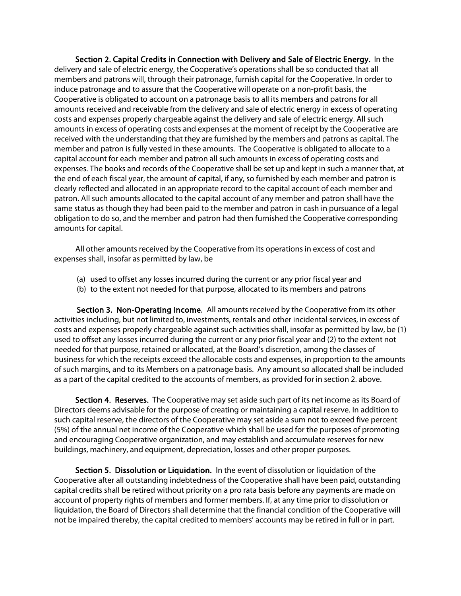Section 2. Capital Credits in Connection with Delivery and Sale of Electric Energy. In the delivery and sale of electric energy, the Cooperative's operations shall be so conducted that all members and patrons will, through their patronage, furnish capital for the Cooperative. In order to induce patronage and to assure that the Cooperative will operate on a non-profit basis, the Cooperative is obligated to account on a patronage basis to all its members and patrons for all amounts received and receivable from the delivery and sale of electric energy in excess of operating costs and expenses properly chargeable against the delivery and sale of electric energy. All such amounts in excess of operating costs and expenses at the moment of receipt by the Cooperative are received with the understanding that they are furnished by the members and patrons as capital. The member and patron is fully vested in these amounts. The Cooperative is obligated to allocate to a capital account for each member and patron all such amounts in excess of operating costs and expenses. The books and records of the Cooperative shall be set up and kept in such a manner that, at the end of each fiscal year, the amount of capital, if any, so furnished by each member and patron is clearly reflected and allocated in an appropriate record to the capital account of each member and patron. All such amounts allocated to the capital account of any member and patron shall have the same status as though they had been paid to the member and patron in cash in pursuance of a legal obligation to do so, and the member and patron had then furnished the Cooperative corresponding amounts for capital.

 All other amounts received by the Cooperative from its operations in excess of cost and expenses shall, insofar as permitted by law, be

- (a) used to offset any losses incurred during the current or any prior fiscal year and
- (b) to the extent not needed for that purpose, allocated to its members and patrons

Section 3. Non-Operating Income. All amounts received by the Cooperative from its other activities including, but not limited to, investments, rentals and other incidental services, in excess of costs and expenses properly chargeable against such activities shall, insofar as permitted by law, be (1) used to offset any losses incurred during the current or any prior fiscal year and (2) to the extent not needed for that purpose, retained or allocated, at the Board's discretion, among the classes of business for which the receipts exceed the allocable costs and expenses, in proportion to the amounts of such margins, and to its Members on a patronage basis. Any amount so allocated shall be included as a part of the capital credited to the accounts of members, as provided for in section 2. above.

Section 4. Reserves. The Cooperative may set aside such part of its net income as its Board of Directors deems advisable for the purpose of creating or maintaining a capital reserve. In addition to such capital reserve, the directors of the Cooperative may set aside a sum not to exceed five percent (5%) of the annual net income of the Cooperative which shall be used for the purposes of promoting and encouraging Cooperative organization, and may establish and accumulate reserves for new buildings, machinery, and equipment, depreciation, losses and other proper purposes.

 Section 5. Dissolution or Liquidation. In the event of dissolution or liquidation of the Cooperative after all outstanding indebtedness of the Cooperative shall have been paid, outstanding capital credits shall be retired without priority on a pro rata basis before any payments are made on account of property rights of members and former members. If, at any time prior to dissolution or liquidation, the Board of Directors shall determine that the financial condition of the Cooperative will not be impaired thereby, the capital credited to members' accounts may be retired in full or in part.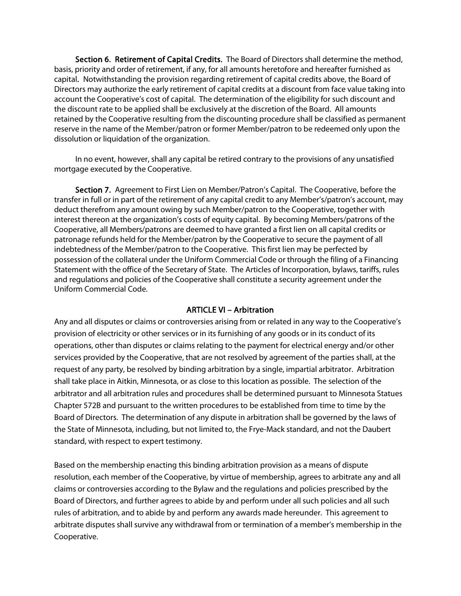Section 6. Retirement of Capital Credits. The Board of Directors shall determine the method, basis, priority and order of retirement, if any, for all amounts heretofore and hereafter furnished as capital. Notwithstanding the provision regarding retirement of capital credits above, the Board of Directors may authorize the early retirement of capital credits at a discount from face value taking into account the Cooperative's cost of capital. The determination of the eligibility for such discount and the discount rate to be applied shall be exclusively at the discretion of the Board. All amounts retained by the Cooperative resulting from the discounting procedure shall be classified as permanent reserve in the name of the Member/patron or former Member/patron to be redeemed only upon the dissolution or liquidation of the organization.

 In no event, however, shall any capital be retired contrary to the provisions of any unsatisfied mortgage executed by the Cooperative.

 Section 7. Agreement to First Lien on Member/Patron's Capital. The Cooperative, before the transfer in full or in part of the retirement of any capital credit to any Member's/patron's account, may deduct therefrom any amount owing by such Member/patron to the Cooperative, together with interest thereon at the organization's costs of equity capital. By becoming Members/patrons of the Cooperative, all Members/patrons are deemed to have granted a first lien on all capital credits or patronage refunds held for the Member/patron by the Cooperative to secure the payment of all indebtedness of the Member/patron to the Cooperative. This first lien may be perfected by possession of the collateral under the Uniform Commercial Code or through the filing of a Financing Statement with the office of the Secretary of State. The Articles of Incorporation, bylaws, tariffs, rules and regulations and policies of the Cooperative shall constitute a security agreement under the Uniform Commercial Code.

## ARTICLE VI – Arbitration

Any and all disputes or claims or controversies arising from or related in any way to the Cooperative's provision of electricity or other services or in its furnishing of any goods or in its conduct of its operations, other than disputes or claims relating to the payment for electrical energy and/or other services provided by the Cooperative, that are not resolved by agreement of the parties shall, at the request of any party, be resolved by binding arbitration by a single, impartial arbitrator. Arbitration shall take place in Aitkin, Minnesota, or as close to this location as possible. The selection of the arbitrator and all arbitration rules and procedures shall be determined pursuant to Minnesota Statues Chapter 572B and pursuant to the written procedures to be established from time to time by the Board of Directors. The determination of any dispute in arbitration shall be governed by the laws of the State of Minnesota, including, but not limited to, the Frye-Mack standard, and not the Daubert standard, with respect to expert testimony.

Based on the membership enacting this binding arbitration provision as a means of dispute resolution, each member of the Cooperative, by virtue of membership, agrees to arbitrate any and all claims or controversies according to the Bylaw and the regulations and policies prescribed by the Board of Directors, and further agrees to abide by and perform under all such policies and all such rules of arbitration, and to abide by and perform any awards made hereunder. This agreement to arbitrate disputes shall survive any withdrawal from or termination of a member's membership in the Cooperative.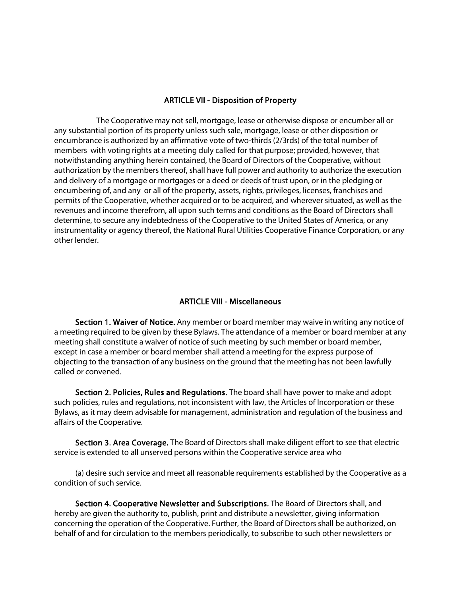## ARTICLE VII - Disposition of Property

 The Cooperative may not sell, mortgage, lease or otherwise dispose or encumber all or any substantial portion of its property unless such sale, mortgage, lease or other disposition or encumbrance is authorized by an affirmative vote of two-thirds (2/3rds) of the total number of members with voting rights at a meeting duly called for that purpose; provided, however, that notwithstanding anything herein contained, the Board of Directors of the Cooperative, without authorization by the members thereof, shall have full power and authority to authorize the execution and delivery of a mortgage or mortgages or a deed or deeds of trust upon, or in the pledging or encumbering of, and any or all of the property, assets, rights, privileges, licenses, franchises and permits of the Cooperative, whether acquired or to be acquired, and wherever situated, as well as the revenues and income therefrom, all upon such terms and conditions as the Board of Directors shall determine, to secure any indebtedness of the Cooperative to the United States of America, or any instrumentality or agency thereof, the National Rural Utilities Cooperative Finance Corporation, or any other lender.

## ARTICLE VIII - Miscellaneous

 Section 1. Waiver of Notice. Any member or board member may waive in writing any notice of a meeting required to be given by these Bylaws. The attendance of a member or board member at any meeting shall constitute a waiver of notice of such meeting by such member or board member, except in case a member or board member shall attend a meeting for the express purpose of objecting to the transaction of any business on the ground that the meeting has not been lawfully called or convened.

 Section 2. Policies, Rules and Regulations. The board shall have power to make and adopt such policies, rules and regulations, not inconsistent with law, the Articles of Incorporation or these Bylaws, as it may deem advisable for management, administration and regulation of the business and affairs of the Cooperative.

 Section 3. Area Coverage. The Board of Directors shall make diligent effort to see that electric service is extended to all unserved persons within the Cooperative service area who

 (a) desire such service and meet all reasonable requirements established by the Cooperative as a condition of such service.

 Section 4. Cooperative Newsletter and Subscriptions. The Board of Directors shall, and hereby are given the authority to, publish, print and distribute a newsletter, giving information concerning the operation of the Cooperative. Further, the Board of Directors shall be authorized, on behalf of and for circulation to the members periodically, to subscribe to such other newsletters or